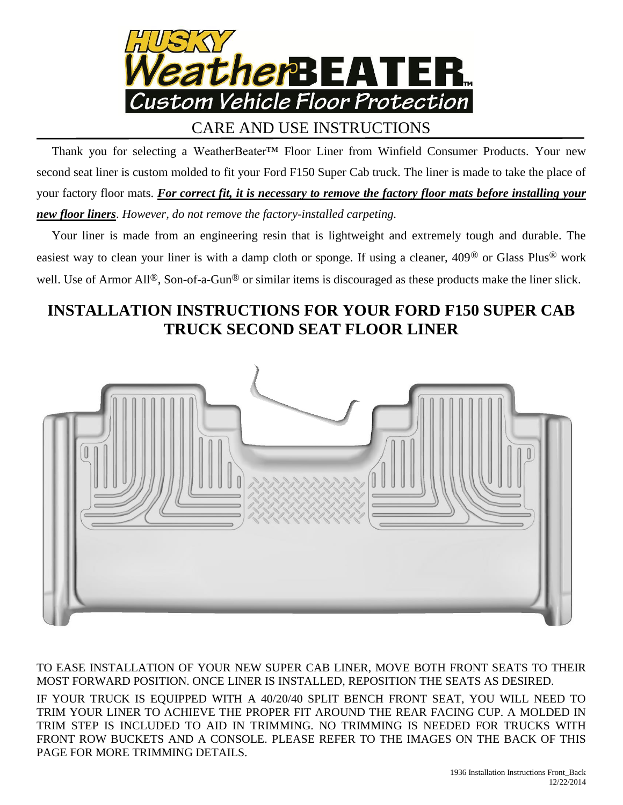

## CARE AND USE INSTRUCTIONS

 Thank you for selecting a WeatherBeater™ Floor Liner from Winfield Consumer Products. Your new second seat liner is custom molded to fit your Ford F150 Super Cab truck. The liner is made to take the place of your factory floor mats. *For correct fit, it is necessary to remove the factory floor mats before installing your new floor liners*. *However, do not remove the factory-installed carpeting.*

 Your liner is made from an engineering resin that is lightweight and extremely tough and durable. The easiest way to clean your liner is with a damp cloth or sponge. If using a cleaner, 409® or Glass Plus® work well. Use of Armor All<sup>®</sup>, Son-of-a-Gun<sup>®</sup> or similar items is discouraged as these products make the liner slick.

## **INSTALLATION INSTRUCTIONS FOR YOUR FORD F150 SUPER CAB TRUCK SECOND SEAT FLOOR LINER**



TO EASE INSTALLATION OF YOUR NEW SUPER CAB LINER, MOVE BOTH FRONT SEATS TO THEIR MOST FORWARD POSITION. ONCE LINER IS INSTALLED, REPOSITION THE SEATS AS DESIRED.

IF YOUR TRUCK IS EQUIPPED WITH A 40/20/40 SPLIT BENCH FRONT SEAT, YOU WILL NEED TO TRIM YOUR LINER TO ACHIEVE THE PROPER FIT AROUND THE REAR FACING CUP. A MOLDED IN TRIM STEP IS INCLUDED TO AID IN TRIMMING. NO TRIMMING IS NEEDED FOR TRUCKS WITH FRONT ROW BUCKETS AND A CONSOLE. PLEASE REFER TO THE IMAGES ON THE BACK OF THIS PAGE FOR MORE TRIMMING DETAILS.